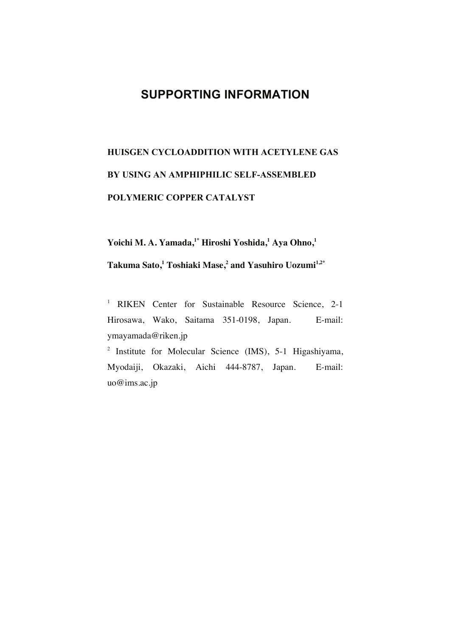# **SUPPORTING INFORMATION**

# **HUISGEN CYCLOADDITION WITH ACETYLENE GAS BY USING AN AMPHIPHILIC SELF-ASSEMBLED POLYMERIC COPPER CATALYST**

**Yoichi M. A. Yamada,1\* Hiroshi Yoshida,<sup>1</sup> Aya Ohno,<sup>1</sup>**

**Takuma Sato,<sup>1</sup> Toshiaki Mase,2 and Yasuhiro Uozumi1,2\***

<sup>1</sup> RIKEN Center for Sustainable Resource Science, 2-1 Hirosawa, Wako, Saitama 351-0198, Japan. E-mail: ymayamada@riken.jp

<sup>2</sup> Institute for Molecular Science (IMS), 5-1 Higashiyama, Myodaiji, Okazaki, Aichi 444-8787, Japan. E-mail: uo@ims.ac.jp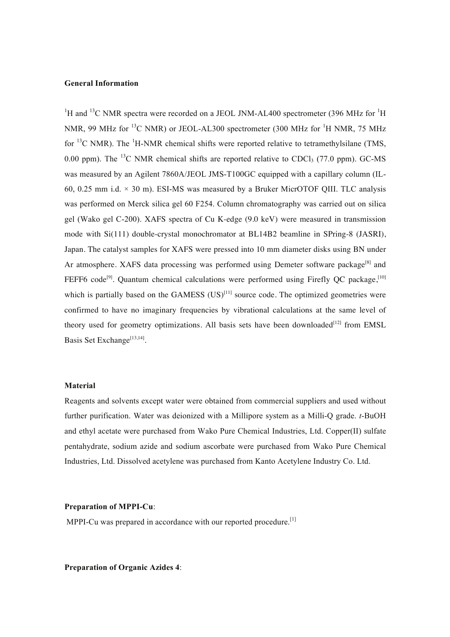#### **General Information**

<sup>1</sup>H and <sup>13</sup>C NMR spectra were recorded on a JEOL JNM-AL400 spectrometer (396 MHz for <sup>1</sup>H NMR, 99 MHz for <sup>13</sup>C NMR) or JEOL-AL300 spectrometer (300 MHz for <sup>1</sup>H NMR, 75 MHz for  $^{13}$ C NMR). The  $^{1}$ H-NMR chemical shifts were reported relative to tetramethylsilane (TMS, 0.00 ppm). The  $^{13}$ C NMR chemical shifts are reported relative to CDCl<sub>3</sub> (77.0 ppm). GC-MS was measured by an Agilent 7860A/JEOL JMS-T100GC equipped with a capillary column (IL-60, 0.25 mm i.d.  $\times$  30 m). ESI-MS was measured by a Bruker MicrOTOF OIII. TLC analysis was performed on Merck silica gel 60 F254. Column chromatography was carried out on silica gel (Wako gel C-200). XAFS spectra of Cu K-edge (9.0 keV) were measured in transmission mode with Si(111) double-crystal monochromator at BL14B2 beamline in SPring-8 (JASRI), Japan. The catalyst samples for XAFS were pressed into 10 mm diameter disks using BN under Ar atmosphere. XAFS data processing was performed using Demeter software package<sup>[8]</sup> and FEFF6 code<sup>[9]</sup>. Ouantum chemical calculations were performed using Firefly QC package,<sup>[10]</sup> which is partially based on the GAMESS  $(US)^{[11]}$  source code. The optimized geometries were confirmed to have no imaginary frequencies by vibrational calculations at the same level of theory used for geometry optimizations. All basis sets have been downloaded<sup>[12]</sup> from EMSL Basis Set Exchange<sup>[13,14]</sup>.

#### **Material**

Reagents and solvents except water were obtained from commercial suppliers and used without further purification. Water was deionized with a Millipore system as a Milli-Q grade. *t*-BuOH and ethyl acetate were purchased from Wako Pure Chemical Industries, Ltd. Copper(II) sulfate pentahydrate, sodium azide and sodium ascorbate were purchased from Wako Pure Chemical Industries, Ltd. Dissolved acetylene was purchased from Kanto Acetylene Industry Co. Ltd.

### **Preparation of MPPI-Cu**:

MPPI-Cu was prepared in accordance with our reported procedure.<sup>[1]</sup>

**Preparation of Organic Azides 4**: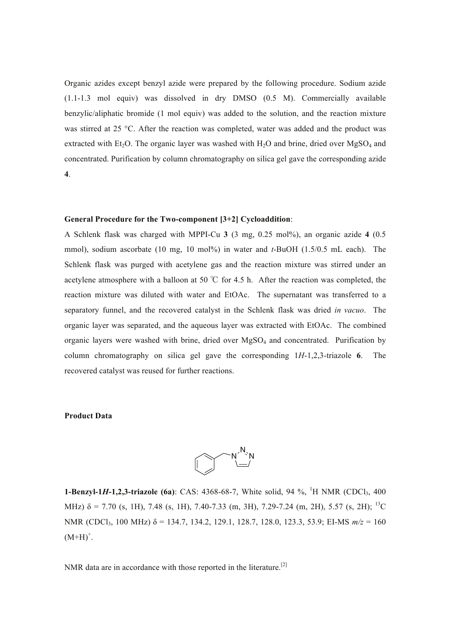Organic azides except benzyl azide were prepared by the following procedure. Sodium azide (1.1-1.3 mol equiv) was dissolved in dry DMSO (0.5 M). Commercially available benzylic/aliphatic bromide (1 mol equiv) was added to the solution, and the reaction mixture was stirred at 25 °C. After the reaction was completed, water was added and the product was extracted with Et<sub>2</sub>O. The organic layer was washed with H<sub>2</sub>O and brine, dried over MgSO<sub>4</sub> and concentrated. Purification by column chromatography on silica gel gave the corresponding azide **4**.

## **General Procedure for the Two-component [3+2] Cycloaddition**:

A Schlenk flask was charged with MPPI-Cu **3** (3 mg, 0.25 mol%), an organic azide **4** (0.5 mmol), sodium ascorbate (10 mg, 10 mol%) in water and *t*-BuOH (1.5/0.5 mL each). The Schlenk flask was purged with acetylene gas and the reaction mixture was stirred under an acetylene atmosphere with a balloon at 50  $\degree$ C for 4.5 h. After the reaction was completed, the reaction mixture was diluted with water and EtOAc. The supernatant was transferred to a separatory funnel, and the recovered catalyst in the Schlenk flask was dried *in vacuo*. The organic layer was separated, and the aqueous layer was extracted with EtOAc. The combined organic layers were washed with brine, dried over  $MgSO<sub>4</sub>$  and concentrated. Purification by column chromatography on silica gel gave the corresponding 1*H*-1,2,3-triazole **6**. The recovered catalyst was reused for further reactions.

### **Product Data**



**1-Benzyl-1H-1,2,3-triazole (6a):** CAS: 4368-68-7, White solid, 94 %, <sup>1</sup>H NMR (CDCl<sub>3</sub>, 400) MHz)  $\delta$  = 7.70 (s, 1H), 7.48 (s, 1H), 7.40-7.33 (m, 3H), 7.29-7.24 (m, 2H), 5.57 (s, 2H); <sup>13</sup>C NMR (CDCl<sub>3</sub>, 100 MHz) δ = 134.7, 134.2, 129.1, 128.7, 128.0, 123.3, 53.9; EI-MS  $m/z = 160$  $(M+H)^+$ .

NMR data are in accordance with those reported in the literature.<sup>[2]</sup>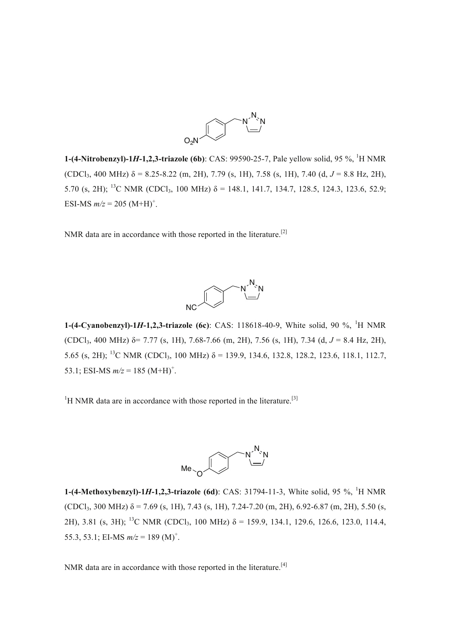

**1-(4-Nitrobenzyl)-1***H***-1,2,3-triazole (6b)**: CAS: 99590-25-7, Pale yellow solid, 95 %, <sup>1</sup> H NMR (CDCl<sub>3</sub>, 400 MHz)  $\delta$  = 8.25-8.22 (m, 2H), 7.79 (s, 1H), 7.58 (s, 1H), 7.40 (d,  $J$  = 8.8 Hz, 2H), 5.70 (s, 2H); <sup>13</sup>C NMR (CDCl<sub>3</sub>, 100 MHz)  $\delta$  = 148.1, 141.7, 134.7, 128.5, 124.3, 123.6, 52.9; ESI-MS  $m/z = 205$  (M+H)<sup>+</sup>.

NMR data are in accordance with those reported in the literature.[2]



**1-(4-Cyanobenzyl)-1***H***-1,2,3-triazole (6c)**: CAS: 118618-40-9, White solid, 90 %, <sup>1</sup>H NMR (CDCl<sub>3</sub>, 400 MHz) δ= 7.77 (s, 1H), 7.68-7.66 (m, 2H), 7.56 (s, 1H), 7.34 (d,  $J = 8.4$  Hz, 2H), 5.65 (s, 2H); <sup>13</sup>C NMR (CDCl<sub>3</sub>, 100 MHz)  $\delta$  = 139.9, 134.6, 132.8, 128.2, 123.6, 118.1, 112.7, 53.1; ESI-MS  $m/z = 185$  (M+H)<sup>+</sup>.

<sup>1</sup>H NMR data are in accordance with those reported in the literature.<sup>[3]</sup>



**1-(4-Methoxybenzyl)-1***H***-1,2,3-triazole (6d)**: CAS: 31794-11-3, White solid, 95 %, <sup>1</sup>H NMR (CDCl<sub>3</sub>, 300 MHz)  $\delta$  = 7.69 (s, 1H), 7.43 (s, 1H), 7.24-7.20 (m, 2H), 6.92-6.87 (m, 2H), 5.50 (s, 2H), 3.81 (s, 3H); <sup>13</sup>C NMR (CDCl<sub>3</sub>, 100 MHz)  $\delta$  = 159.9, 134.1, 129.6, 126.6, 123.0, 114.4, 55.3, 53.1; EI-MS  $m/z = 189$  (M)<sup>+</sup>.

NMR data are in accordance with those reported in the literature.<sup>[4]</sup>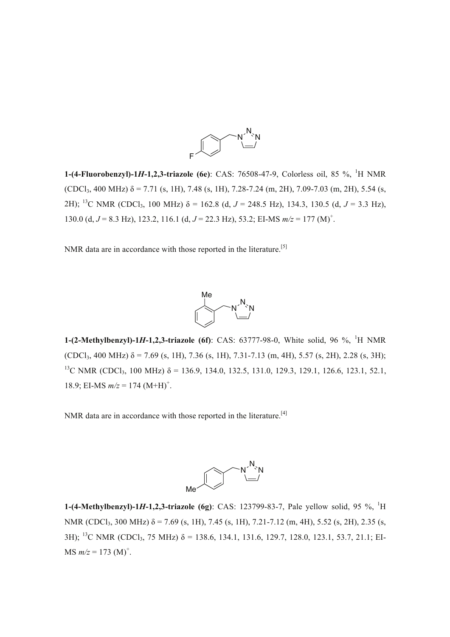

**1-(4-Fluorobenzyl)-1***H***-1,2,3-triazole (6e)**: CAS: 76508-47-9, Colorless oil, 85 %, <sup>1</sup>H NMR  $(CDCl_3, 400 MHz)$  δ = 7.71 (s, 1H), 7.48 (s, 1H), 7.28-7.24 (m, 2H), 7.09-7.03 (m, 2H), 5.54 (s, 2H); <sup>13</sup>C NMR (CDCl<sub>3</sub>, 100 MHz)  $\delta$  = 162.8 (d, *J* = 248.5 Hz), 134.3, 130.5 (d, *J* = 3.3 Hz), 130.0 (d, *J* = 8.3 Hz), 123.2, 116.1 (d, *J* = 22.3 Hz), 53.2; EI-MS *m/z* = 177 (M)<sup>+</sup> .

NMR data are in accordance with those reported in the literature.<sup>[5]</sup>



**1-(2-Methylbenzyl)-1***H***-1,2,3-triazole (6f)**: CAS: 63777-98-0, White solid, 96 %, <sup>1</sup>H NMR  $(CDCl<sub>3</sub>, 400 MHz)$  δ = 7.69 (s, 1H), 7.36 (s, 1H), 7.31-7.13 (m, 4H), 5.57 (s, 2H), 2.28 (s, 3H); <sup>13</sup>C NMR (CDCl<sub>3</sub>, 100 MHz)  $\delta$  = 136.9, 134.0, 132.5, 131.0, 129.3, 129.1, 126.6, 123.1, 52.1, 18.9; EI-MS  $m/z = 174$  (M+H)<sup>+</sup>.

NMR data are in accordance with those reported in the literature.<sup>[4]</sup>



**1-(4-Methylbenzyl)-1***H***-1,2,3-triazole (6g)**: CAS: 123799-83-7, Pale yellow solid, 95 %, <sup>1</sup> H NMR (CDCl<sub>3</sub>, 300 MHz)  $\delta$  = 7.69 (s, 1H), 7.45 (s, 1H), 7.21-7.12 (m, 4H), 5.52 (s, 2H), 2.35 (s, 3H); <sup>13</sup>C NMR (CDCl<sub>3</sub>, 75 MHz)  $\delta$  = 138.6, 134.1, 131.6, 129.7, 128.0, 123.1, 53.7, 21.1; EI-MS  $m/z = 173$  (M)<sup>+</sup>.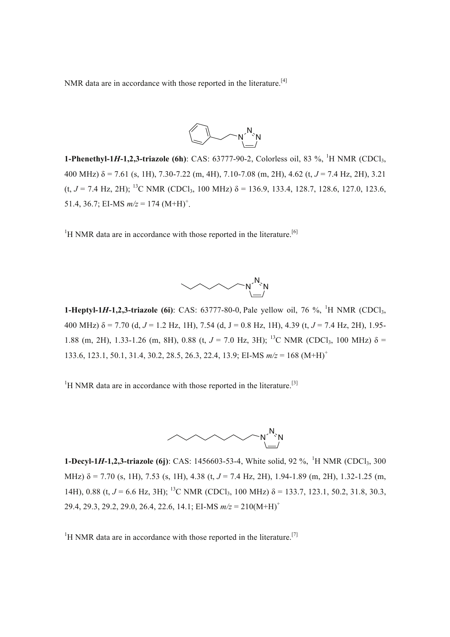NMR data are in accordance with those reported in the literature.<sup>[4]</sup>



**1-Phenethyl-1***H***-1,2,3-triazole (6h)**: CAS: 63777-90-2, Colorless oil, 83 %, <sup>1</sup>H NMR (CDCl<sub>3</sub>, 400 MHz) δ = 7.61 (s, 1H), 7.30-7.22 (m, 4H), 7.10-7.08 (m, 2H), 4.62 (t, *J* = 7.4 Hz, 2H), 3.21 (t,  $J = 7.4$  Hz, 2H); <sup>13</sup>C NMR (CDCl<sub>3</sub>, 100 MHz)  $\delta = 136.9$ , 133.4, 128.7, 128.6, 127.0, 123.6, 51.4, 36.7; EI-MS  $m/z = 174$  (M+H)<sup>+</sup>.

<sup>1</sup>H NMR data are in accordance with those reported in the literature.<sup>[6]</sup>



**1-Heptyl-1H-1,2,3-triazole (6i)**: CAS: 63777-80-0, Pale yellow oil, 76 %, <sup>1</sup>H NMR (CDCl<sub>3</sub>, 400 MHz) δ = 7.70 (d, *J* = 1.2 Hz, 1H), 7.54 (d, J = 0.8 Hz, 1H), 4.39 (t, *J* = 7.4 Hz, 2H), 1.95- 1.88 (m, 2H), 1.33-1.26 (m, 8H), 0.88 (t,  $J = 7.0$  Hz, 3H); <sup>13</sup>C NMR (CDCl<sub>3</sub>, 100 MHz)  $\delta$  = 133.6, 123.1, 50.1, 31.4, 30.2, 28.5, 26.3, 22.4, 13.9; EI-MS *m/z* = 168 (M+H)<sup>+</sup>

<sup>1</sup>H NMR data are in accordance with those reported in the literature.<sup>[3]</sup>



**1-Decyl-1***H***-1,2,3-triazole (6j)**: CAS: 1456603-53-4, White solid, 92 %, <sup>1</sup>H NMR (CDCl<sub>3</sub>, 300) MHz) δ = 7.70 (s, 1H), 7.53 (s, 1H), 4.38 (t, *J* = 7.4 Hz, 2H), 1.94-1.89 (m, 2H), 1.32-1.25 (m, 14H), 0.88 (t,  $J = 6.6$  Hz, 3H); <sup>13</sup>C NMR (CDCl<sub>3</sub>, 100 MHz)  $\delta = 133.7$ , 123.1, 50.2, 31.8, 30.3, 29.4, 29.3, 29.2, 29.0, 26.4, 22.6, 14.1; EI-MS *m/z* = 210(M+H)<sup>+</sup>

<sup>1</sup>H NMR data are in accordance with those reported in the literature.<sup>[7]</sup>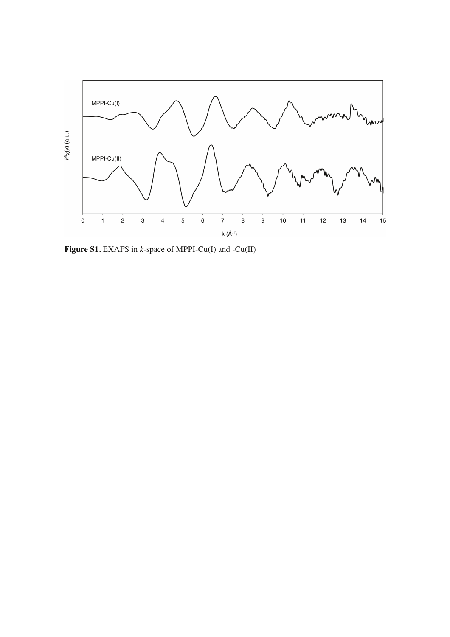

**Figure S1.** EXAFS in *k*-space of MPPI-Cu(I) and -Cu(II)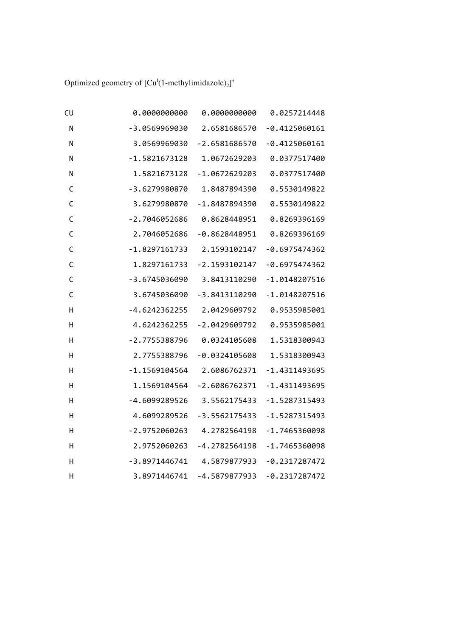Optimized geometry of  $[Cu^I(1-methylimidazole)_2]^+$ 

| CU             |              | 0.0000000000 0.0000000000 0.0257214448     |                               |
|----------------|--------------|--------------------------------------------|-------------------------------|
| N              |              | $-3.0569969030$ 2.6581686570               | $-0.4125060161$               |
| N              | 3.0569969030 | $-2.6581686570$                            | $-0.4125060161$               |
| N              |              | $-1.5821673128$ 1.0672629203 0.0377517400  |                               |
| N              |              | 1.5821673128 -1.0672629203 0.0377517400    |                               |
| $\mathsf{C}$   |              | $-3.6279980870$ 1.8487894390               | 0.5530149822                  |
| $\mathsf C$    |              | 3.6279980870 -1.8487894390                 | 0.5530149822                  |
| $\mathsf C$    |              | $-2.7046052686$ 0.8628448951               | 0.8269396169                  |
| $\mathsf C$    |              | 2.7046052686 -0.8628448951 0.8269396169    |                               |
| $\mathsf C$    |              | $-1.8297161733$ 2.1593102147               | $-0.6975474362$               |
| $\mathsf C$    |              | 1.8297161733 -2.1593102147                 | $-0.6975474362$               |
| $\mathsf C$    |              | $-3.6745036090$ 3.8413110290               | $-1.0148207516$               |
| $\mathsf{C}$   |              | 3.6745036090 -3.8413110290                 | $-1.0148207516$               |
| $\overline{H}$ |              | -4.6242362255 2.0429609792 0.9535985001    |                               |
| H              |              | 4.6242362255 -2.0429609792 0.9535985001    |                               |
| H              |              |                                            |                               |
| H              | 2.7755388796 | $-0.0324105608$                            | 1.5318300943                  |
| н              |              | $-1.1569104564$ 2.6086762371 -1.4311493695 |                               |
| н              | 1.1569104564 | $-2.6086762371$                            | $-1.4311493695$               |
| н              |              | $-4.6099289526$ 3.5562175433 -1.5287315493 |                               |
| н              | 4.6099289526 |                                            | $-3.5562175433 -1.5287315493$ |
| н              |              | $-2.9752060263$ 4.2782564198 -1.7465360098 |                               |
| н              |              | 2.9752060263 -4.2782564198                 | -1.7465360098                 |
| н              |              | $-3.8971446741$ 4.5879877933               | $-0.2317287472$               |
| н              | 3.8971446741 | -4.5879877933                              | $-0.2317287472$               |